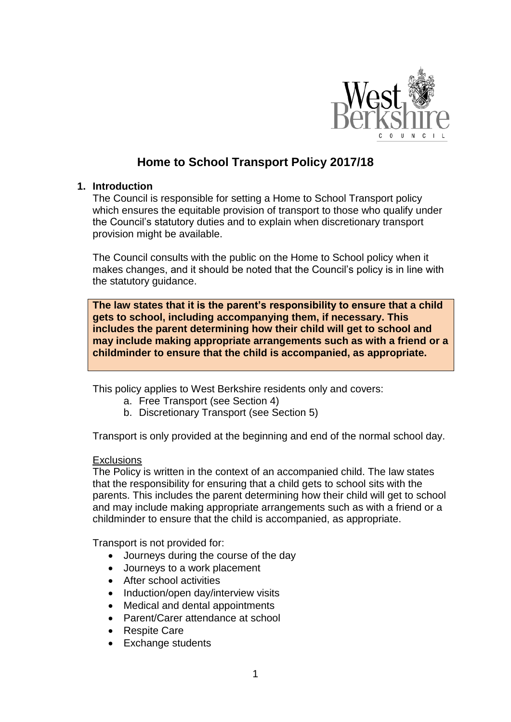

# **Home to School Transport Policy 2017/18**

## **1. Introduction**

The Council is responsible for setting a Home to School Transport policy which ensures the equitable provision of transport to those who qualify under the Council's statutory duties and to explain when discretionary transport provision might be available.

The Council consults with the public on the Home to School policy when it makes changes, and it should be noted that the Council's policy is in line with the statutory guidance.

**The law states that it is the parent's responsibility to ensure that a child gets to school, including accompanying them, if necessary. This includes the parent determining how their child will get to school and may include making appropriate arrangements such as with a friend or a childminder to ensure that the child is accompanied, as appropriate.**

This policy applies to West Berkshire residents only and covers:

- a. Free Transport (see Section 4)
- b. Discretionary Transport (see Section 5)

Transport is only provided at the beginning and end of the normal school day.

#### **Exclusions**

The Policy is written in the context of an accompanied child. The law states that the responsibility for ensuring that a child gets to school sits with the parents. This includes the parent determining how their child will get to school and may include making appropriate arrangements such as with a friend or a childminder to ensure that the child is accompanied, as appropriate.

Transport is not provided for:

- Journeys during the course of the day
- Journeys to a work placement
- **After school activities**
- Induction/open day/interview visits
- Medical and dental appointments
- Parent/Carer attendance at school
- Respite Care
- Exchange students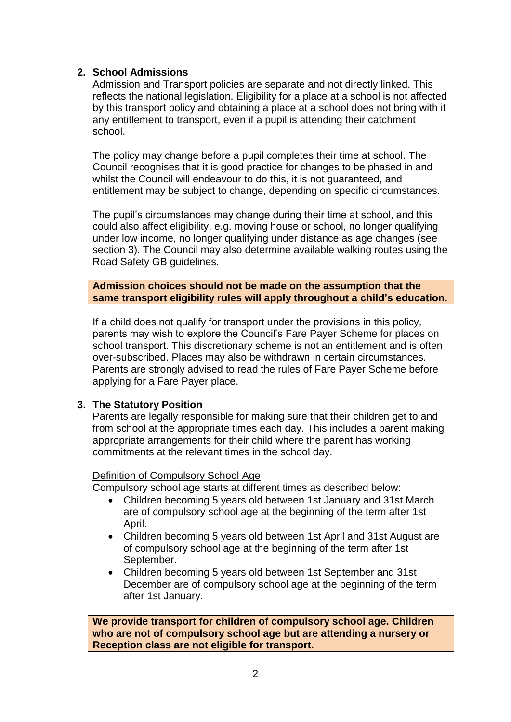## **2. School Admissions**

Admission and Transport policies are separate and not directly linked. This reflects the national legislation. Eligibility for a place at a school is not affected by this transport policy and obtaining a place at a school does not bring with it any entitlement to transport, even if a pupil is attending their catchment school.

The policy may change before a pupil completes their time at school. The Council recognises that it is good practice for changes to be phased in and whilst the Council will endeavour to do this, it is not guaranteed, and entitlement may be subject to change, depending on specific circumstances.

The pupil's circumstances may change during their time at school, and this could also affect eligibility, e.g. moving house or school, no longer qualifying under low income, no longer qualifying under distance as age changes (see section 3). The Council may also determine available walking routes using the Road Safety GB guidelines.

**Admission choices should not be made on the assumption that the same transport eligibility rules will apply throughout a child's education.**

If a child does not qualify for transport under the provisions in this policy, parents may wish to explore the Council's Fare Payer Scheme for places on school transport. This discretionary scheme is not an entitlement and is often over-subscribed. Places may also be withdrawn in certain circumstances. Parents are strongly advised to read the rules of Fare Payer Scheme before applying for a Fare Payer place.

## **3. The Statutory Position**

Parents are legally responsible for making sure that their children get to and from school at the appropriate times each day. This includes a parent making appropriate arrangements for their child where the parent has working commitments at the relevant times in the school day.

## Definition of Compulsory School Age

Compulsory school age starts at different times as described below:

- Children becoming 5 years old between 1st January and 31st March are of compulsory school age at the beginning of the term after 1st April.
- Children becoming 5 years old between 1st April and 31st August are of compulsory school age at the beginning of the term after 1st September.
- Children becoming 5 years old between 1st September and 31st December are of compulsory school age at the beginning of the term after 1st January.

**We provide transport for children of compulsory school age. Children who are not of compulsory school age but are attending a nursery or Reception class are not eligible for transport.**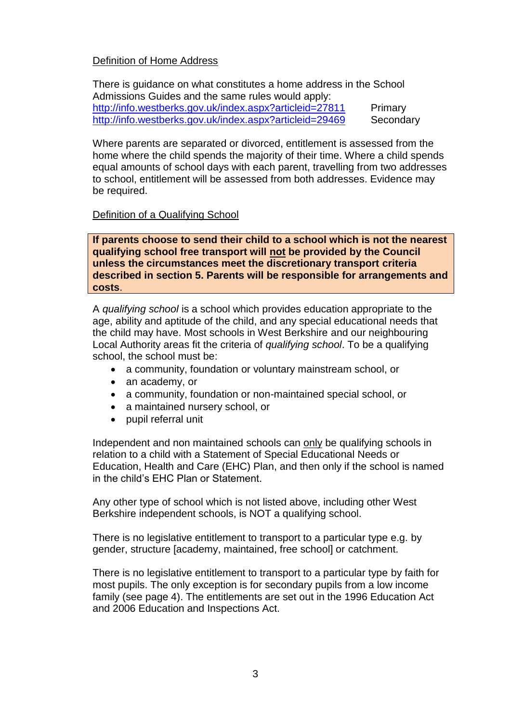## Definition of Home Address

There is guidance on what constitutes a home address in the School Admissions Guides and the same rules would apply: <http://info.westberks.gov.uk/index.aspx?articleid=27811> Primary <http://info.westberks.gov.uk/index.aspx?articleid=29469> Secondary

Where parents are separated or divorced, entitlement is assessed from the home where the child spends the majority of their time. Where a child spends equal amounts of school days with each parent, travelling from two addresses to school, entitlement will be assessed from both addresses. Evidence may be required.

## Definition of a Qualifying School

**If parents choose to send their child to a school which is not the nearest qualifying school free transport will not be provided by the Council unless the circumstances meet the discretionary transport criteria described in section 5. Parents will be responsible for arrangements and costs**.

A *qualifying school* is a school which provides education appropriate to the age, ability and aptitude of the child, and any special educational needs that the child may have. Most schools in West Berkshire and our neighbouring Local Authority areas fit the criteria of *qualifying school*. To be a qualifying school, the school must be:

- a community, foundation or voluntary mainstream school, or
- an academy, or
- a community, foundation or non-maintained special school, or
- a maintained nursery school, or
- pupil referral unit

Independent and non maintained schools can only be qualifying schools in relation to a child with a Statement of Special Educational Needs or Education, Health and Care (EHC) Plan, and then only if the school is named in the child's EHC Plan or Statement.

Any other type of school which is not listed above, including other West Berkshire independent schools, is NOT a qualifying school.

There is no legislative entitlement to transport to a particular type e.g. by gender, structure [academy, maintained, free school] or catchment.

There is no legislative entitlement to transport to a particular type by faith for most pupils. The only exception is for secondary pupils from a low income family (see page 4). The entitlements are set out in the 1996 Education Act and 2006 Education and Inspections Act.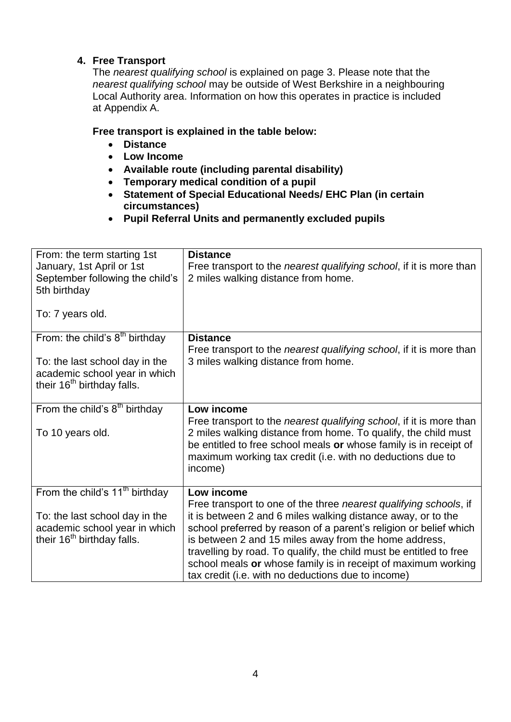## **4. Free Transport**

The *nearest qualifying school* is explained on page 3. Please note that the *nearest qualifying school* may be outside of West Berkshire in a neighbouring Local Authority area. Information on how this operates in practice is included at Appendix A.

## **Free transport is explained in the table below:**

- **Distance**
- **Low Income**
- **Available route (including parental disability)**
- **Temporary medical condition of a pupil**
- **Statement of Special Educational Needs/ EHC Plan (in certain circumstances)**
- **Pupil Referral Units and permanently excluded pupils**

| From: the term starting 1st<br>January, 1st April or 1st<br>September following the child's<br>5th birthday<br>To: 7 years old.               | <b>Distance</b><br>Free transport to the <i>nearest qualifying school</i> , if it is more than<br>2 miles walking distance from home.                                                                                                                                                                                                                                                                                                                                      |
|-----------------------------------------------------------------------------------------------------------------------------------------------|----------------------------------------------------------------------------------------------------------------------------------------------------------------------------------------------------------------------------------------------------------------------------------------------------------------------------------------------------------------------------------------------------------------------------------------------------------------------------|
| From: the child's $8th$ birthday<br>To: the last school day in the<br>academic school year in which<br>their 16 <sup>th</sup> birthday falls. | <b>Distance</b><br>Free transport to the <i>nearest qualifying school</i> , if it is more than<br>3 miles walking distance from home.                                                                                                                                                                                                                                                                                                                                      |
| From the child's $8th$ birthday<br>To 10 years old.                                                                                           | Low income<br>Free transport to the <i>nearest qualifying school</i> , if it is more than<br>2 miles walking distance from home. To qualify, the child must<br>be entitled to free school meals or whose family is in receipt of<br>maximum working tax credit (i.e. with no deductions due to<br>income)                                                                                                                                                                  |
| From the child's $11th$ birthday<br>To: the last school day in the<br>academic school year in which<br>their 16 <sup>th</sup> birthday falls. | Low income<br>Free transport to one of the three nearest qualifying schools, if<br>it is between 2 and 6 miles walking distance away, or to the<br>school preferred by reason of a parent's religion or belief which<br>is between 2 and 15 miles away from the home address,<br>travelling by road. To qualify, the child must be entitled to free<br>school meals or whose family is in receipt of maximum working<br>tax credit (i.e. with no deductions due to income) |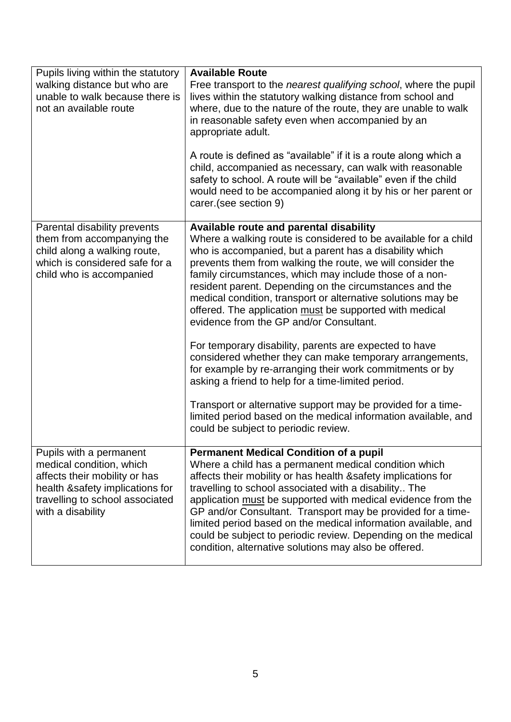| Pupils living within the statutory<br>walking distance but who are<br>unable to walk because there is<br>not an available route                                                 | <b>Available Route</b><br>Free transport to the <i>nearest qualifying school</i> , where the pupil<br>lives within the statutory walking distance from school and<br>where, due to the nature of the route, they are unable to walk<br>in reasonable safety even when accompanied by an<br>appropriate adult.<br>A route is defined as "available" if it is a route along which a<br>child, accompanied as necessary, can walk with reasonable<br>safety to school. A route will be "available" even if the child<br>would need to be accompanied along it by his or her parent or<br>carer.(see section 9)                                                                                                                                                                                                                                                                                                                                       |
|---------------------------------------------------------------------------------------------------------------------------------------------------------------------------------|---------------------------------------------------------------------------------------------------------------------------------------------------------------------------------------------------------------------------------------------------------------------------------------------------------------------------------------------------------------------------------------------------------------------------------------------------------------------------------------------------------------------------------------------------------------------------------------------------------------------------------------------------------------------------------------------------------------------------------------------------------------------------------------------------------------------------------------------------------------------------------------------------------------------------------------------------|
| Parental disability prevents<br>them from accompanying the<br>child along a walking route,<br>which is considered safe for a<br>child who is accompanied                        | Available route and parental disability<br>Where a walking route is considered to be available for a child<br>who is accompanied, but a parent has a disability which<br>prevents them from walking the route, we will consider the<br>family circumstances, which may include those of a non-<br>resident parent. Depending on the circumstances and the<br>medical condition, transport or alternative solutions may be<br>offered. The application must be supported with medical<br>evidence from the GP and/or Consultant.<br>For temporary disability, parents are expected to have<br>considered whether they can make temporary arrangements,<br>for example by re-arranging their work commitments or by<br>asking a friend to help for a time-limited period.<br>Transport or alternative support may be provided for a time-<br>limited period based on the medical information available, and<br>could be subject to periodic review. |
| Pupils with a permanent<br>medical condition, which<br>affects their mobility or has<br>health &safety implications for<br>travelling to school associated<br>with a disability | <b>Permanent Medical Condition of a pupil</b><br>Where a child has a permanent medical condition which<br>affects their mobility or has health & safety implications for<br>travelling to school associated with a disability The<br>application must be supported with medical evidence from the<br>GP and/or Consultant. Transport may be provided for a time-<br>limited period based on the medical information available, and<br>could be subject to periodic review. Depending on the medical<br>condition, alternative solutions may also be offered.                                                                                                                                                                                                                                                                                                                                                                                      |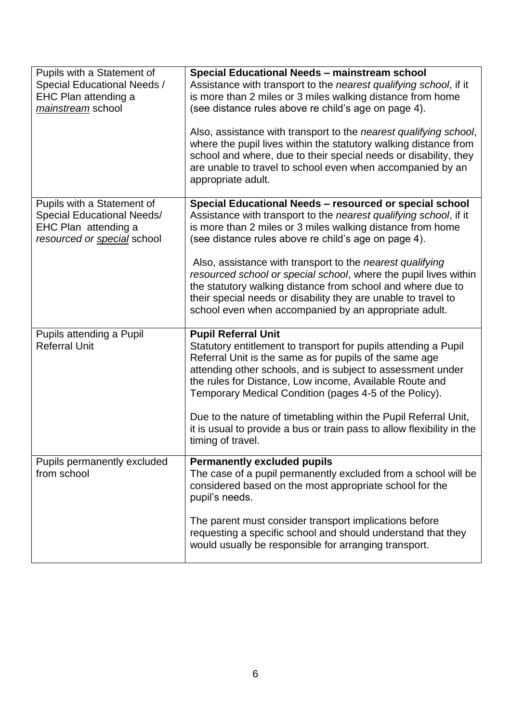| Pupils with a Statement of<br>Special Educational Needs /<br>EHC Plan attending a<br>mainstream school                 | Special Educational Needs - mainstream school<br>Assistance with transport to the nearest qualifying school, if it<br>is more than 2 miles or 3 miles walking distance from home<br>(see distance rules above re child's age on page 4).<br>Also, assistance with transport to the nearest qualifying school,<br>where the pupil lives within the statutory walking distance from<br>school and where, due to their special needs or disability, they<br>are unable to travel to school even when accompanied by an<br>appropriate adult.                                            |
|------------------------------------------------------------------------------------------------------------------------|--------------------------------------------------------------------------------------------------------------------------------------------------------------------------------------------------------------------------------------------------------------------------------------------------------------------------------------------------------------------------------------------------------------------------------------------------------------------------------------------------------------------------------------------------------------------------------------|
| Pupils with a Statement of<br><b>Special Educational Needs/</b><br>EHC Plan attending a<br>resourced or special school | Special Educational Needs - resourced or special school<br>Assistance with transport to the nearest qualifying school, if it<br>is more than 2 miles or 3 miles walking distance from home<br>(see distance rules above re child's age on page 4).<br>Also, assistance with transport to the <i>nearest qualifying</i><br>resourced school or special school, where the pupil lives within<br>the statutory walking distance from school and where due to<br>their special needs or disability they are unable to travel to<br>school even when accompanied by an appropriate adult. |
| Pupils attending a Pupil<br><b>Referral Unit</b>                                                                       | <b>Pupil Referral Unit</b><br>Statutory entitlement to transport for pupils attending a Pupil<br>Referral Unit is the same as for pupils of the same age<br>attending other schools, and is subject to assessment under<br>the rules for Distance, Low income, Available Route and<br>Temporary Medical Condition (pages 4-5 of the Policy).<br>Due to the nature of timetabling within the Pupil Referral Unit,<br>it is usual to provide a bus or train pass to allow flexibility in the<br>timing of travel.                                                                      |
| Pupils permanently excluded<br>from school                                                                             | <b>Permanently excluded pupils</b><br>The case of a pupil permanently excluded from a school will be<br>considered based on the most appropriate school for the<br>pupil's needs.<br>The parent must consider transport implications before<br>requesting a specific school and should understand that they<br>would usually be responsible for arranging transport.                                                                                                                                                                                                                 |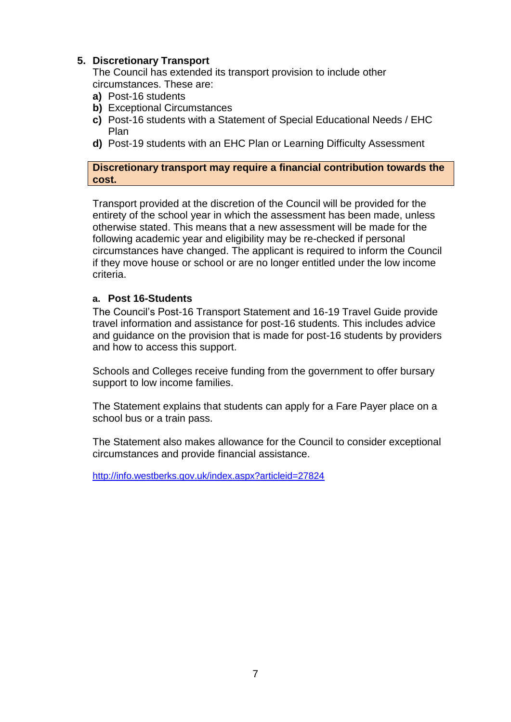## **5. Discretionary Transport**

The Council has extended its transport provision to include other circumstances. These are:

- **a)** Post-16 students
- **b)** Exceptional Circumstances
- **c)** Post-16 students with a Statement of Special Educational Needs / EHC Plan
- **d)** Post-19 students with an EHC Plan or Learning Difficulty Assessment

#### **Discretionary transport may require a financial contribution towards the cost.**

Transport provided at the discretion of the Council will be provided for the entirety of the school year in which the assessment has been made, unless otherwise stated. This means that a new assessment will be made for the following academic year and eligibility may be re-checked if personal circumstances have changed. The applicant is required to inform the Council if they move house or school or are no longer entitled under the low income criteria.

#### **a. Post 16-Students**

The Council's Post-16 Transport Statement and 16-19 Travel Guide provide travel information and assistance for post-16 students. This includes advice and guidance on the provision that is made for post-16 students by providers and how to access this support.

Schools and Colleges receive funding from the government to offer bursary support to low income families.

The Statement explains that students can apply for a Fare Payer place on a school bus or a train pass.

The Statement also makes allowance for the Council to consider exceptional circumstances and provide financial assistance.

<http://info.westberks.gov.uk/index.aspx?articleid=27824>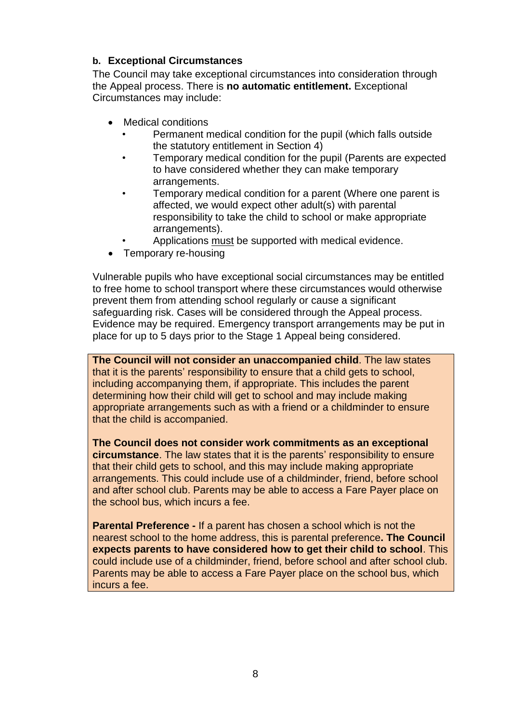## **b. Exceptional Circumstances**

The Council may take exceptional circumstances into consideration through the Appeal process. There is **no automatic entitlement.** Exceptional Circumstances may include:

- Medical conditions
	- Permanent medical condition for the pupil (which falls outside the statutory entitlement in Section 4)
	- Temporary medical condition for the pupil (Parents are expected to have considered whether they can make temporary arrangements.
	- Temporary medical condition for a parent (Where one parent is affected, we would expect other adult(s) with parental responsibility to take the child to school or make appropriate arrangements).
	- Applications must be supported with medical evidence.
- Temporary re-housing

Vulnerable pupils who have exceptional social circumstances may be entitled to free home to school transport where these circumstances would otherwise prevent them from attending school regularly or cause a significant safeguarding risk. Cases will be considered through the Appeal process. Evidence may be required. Emergency transport arrangements may be put in place for up to 5 days prior to the Stage 1 Appeal being considered.

**The Council will not consider an unaccompanied child**. The law states that it is the parents' responsibility to ensure that a child gets to school, including accompanying them, if appropriate. This includes the parent determining how their child will get to school and may include making appropriate arrangements such as with a friend or a childminder to ensure that the child is accompanied.

**The Council does not consider work commitments as an exceptional circumstance**. The law states that it is the parents' responsibility to ensure that their child gets to school, and this may include making appropriate arrangements. This could include use of a childminder, friend, before school and after school club. Parents may be able to access a Fare Payer place on the school bus, which incurs a fee.

**Parental Preference -** If a parent has chosen a school which is not the nearest school to the home address, this is parental preference**. The Council expects parents to have considered how to get their child to school**. This could include use of a childminder, friend, before school and after school club. Parents may be able to access a Fare Payer place on the school bus, which incurs a fee.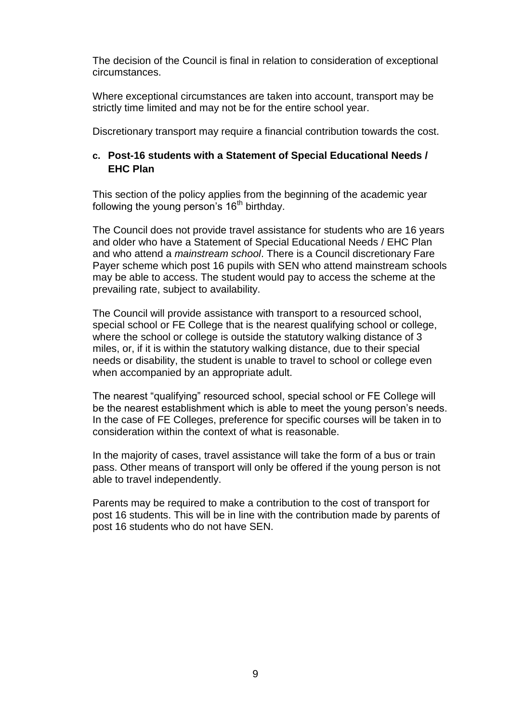The decision of the Council is final in relation to consideration of exceptional circumstances.

Where exceptional circumstances are taken into account, transport may be strictly time limited and may not be for the entire school year.

Discretionary transport may require a financial contribution towards the cost.

## **c. Post-16 students with a Statement of Special Educational Needs / EHC Plan**

This section of the policy applies from the beginning of the academic year following the young person's  $16<sup>th</sup>$  birthday.

The Council does not provide travel assistance for students who are 16 years and older who have a Statement of Special Educational Needs / EHC Plan and who attend a *mainstream school*. There is a Council discretionary Fare Payer scheme which post 16 pupils with SEN who attend mainstream schools may be able to access. The student would pay to access the scheme at the prevailing rate, subject to availability.

The Council will provide assistance with transport to a resourced school, special school or FE College that is the nearest qualifying school or college, where the school or college is outside the statutory walking distance of 3 miles, or, if it is within the statutory walking distance, due to their special needs or disability, the student is unable to travel to school or college even when accompanied by an appropriate adult.

The nearest "qualifying" resourced school, special school or FE College will be the nearest establishment which is able to meet the young person's needs. In the case of FE Colleges, preference for specific courses will be taken in to consideration within the context of what is reasonable.

In the majority of cases, travel assistance will take the form of a bus or train pass. Other means of transport will only be offered if the young person is not able to travel independently.

Parents may be required to make a contribution to the cost of transport for post 16 students. This will be in line with the contribution made by parents of post 16 students who do not have SEN.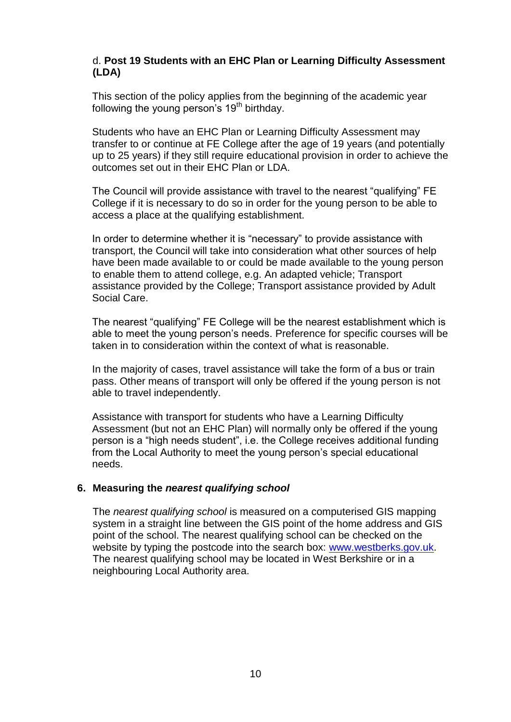## d. **Post 19 Students with an EHC Plan or Learning Difficulty Assessment (LDA)**

This section of the policy applies from the beginning of the academic year following the young person's  $19<sup>th</sup>$  birthday.

Students who have an EHC Plan or Learning Difficulty Assessment may transfer to or continue at FE College after the age of 19 years (and potentially up to 25 years) if they still require educational provision in order to achieve the outcomes set out in their EHC Plan or LDA.

The Council will provide assistance with travel to the nearest "qualifying" FE College if it is necessary to do so in order for the young person to be able to access a place at the qualifying establishment.

In order to determine whether it is "necessary" to provide assistance with transport, the Council will take into consideration what other sources of help have been made available to or could be made available to the young person to enable them to attend college, e.g. An adapted vehicle; Transport assistance provided by the College; Transport assistance provided by Adult Social Care.

The nearest "qualifying" FE College will be the nearest establishment which is able to meet the young person's needs. Preference for specific courses will be taken in to consideration within the context of what is reasonable.

In the majority of cases, travel assistance will take the form of a bus or train pass. Other means of transport will only be offered if the young person is not able to travel independently.

Assistance with transport for students who have a Learning Difficulty Assessment (but not an EHC Plan) will normally only be offered if the young person is a "high needs student", i.e. the College receives additional funding from the Local Authority to meet the young person's special educational needs.

## **6. Measuring the** *nearest qualifying school*

The *nearest qualifying school* is measured on a computerised GIS mapping system in a straight line between the GIS point of the home address and GIS point of the school. The nearest qualifying school can be checked on the website by typing the postcode into the search box: [www.westberks.gov.uk.](http://www.westberks.gov.uk/) The nearest qualifying school may be located in West Berkshire or in a neighbouring Local Authority area.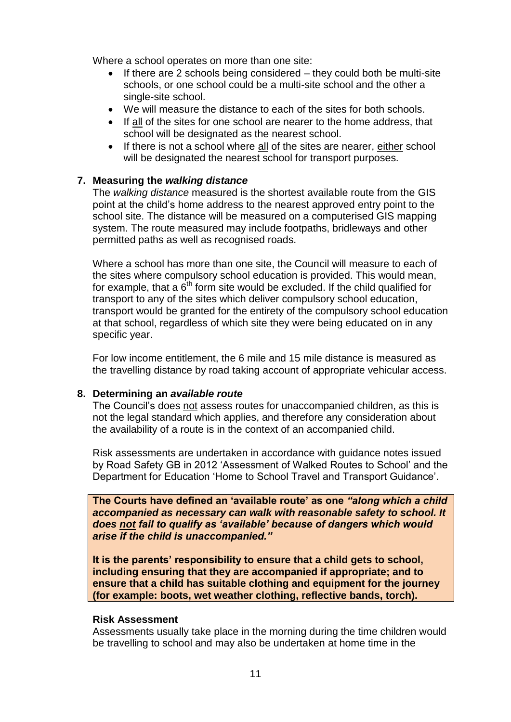Where a school operates on more than one site:

- $\bullet$  If there are 2 schools being considered they could both be multi-site schools, or one school could be a multi-site school and the other a single-site school.
- We will measure the distance to each of the sites for both schools.
- If all of the sites for one school are nearer to the home address, that school will be designated as the nearest school.
- If there is not a school where all of the sites are nearer, either school will be designated the nearest school for transport purposes.

## **7. Measuring the** *walking distance*

The *walking distance* measured is the shortest available route from the GIS point at the child's home address to the nearest approved entry point to the school site. The distance will be measured on a computerised GIS mapping system. The route measured may include footpaths, bridleways and other permitted paths as well as recognised roads.

Where a school has more than one site, the Council will measure to each of the sites where compulsory school education is provided. This would mean, for example, that a  $6<sup>th</sup>$  form site would be excluded. If the child qualified for transport to any of the sites which deliver compulsory school education, transport would be granted for the entirety of the compulsory school education at that school, regardless of which site they were being educated on in any specific year.

For low income entitlement, the 6 mile and 15 mile distance is measured as the travelling distance by road taking account of appropriate vehicular access.

## **8. Determining an** *available route*

The Council's does not assess routes for unaccompanied children, as this is not the legal standard which applies, and therefore any consideration about the availability of a route is in the context of an accompanied child.

Risk assessments are undertaken in accordance with guidance notes issued by Road Safety GB in 2012 'Assessment of Walked Routes to School' and the Department for Education 'Home to School Travel and Transport Guidance'.

**The Courts have defined an 'available route' as one** *"along which a child accompanied as necessary can walk with reasonable safety to school. It does not fail to qualify as 'available' because of dangers which would arise if the child is unaccompanied."* 

**It is the parents' responsibility to ensure that a child gets to school, including ensuring that they are accompanied if appropriate; and to ensure that a child has suitable clothing and equipment for the journey (for example: boots, wet weather clothing, reflective bands, torch).**

## **Risk Assessment**

Assessments usually take place in the morning during the time children would be travelling to school and may also be undertaken at home time in the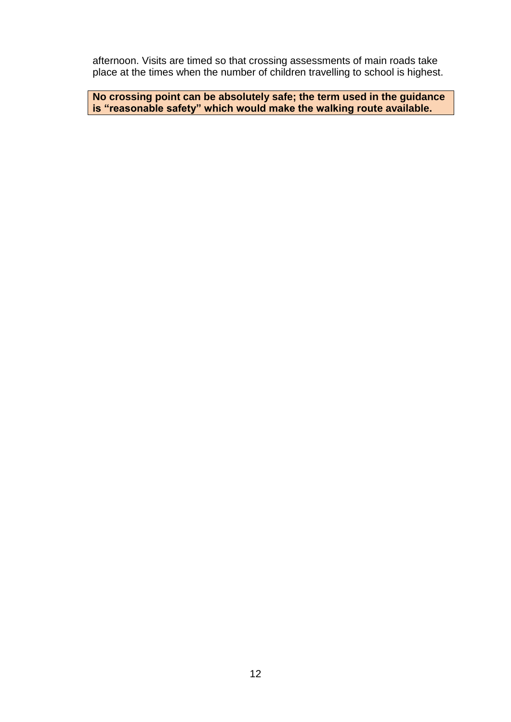afternoon. Visits are timed so that crossing assessments of main roads take place at the times when the number of children travelling to school is highest.

**No crossing point can be absolutely safe; the term used in the guidance is "reasonable safety" which would make the walking route available.**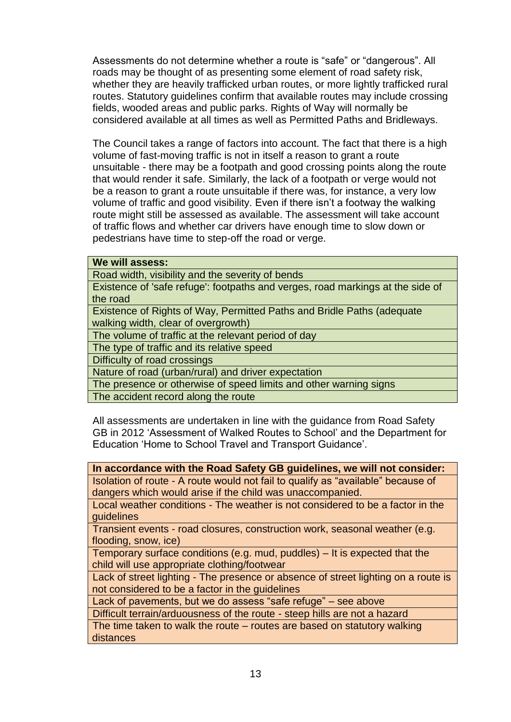Assessments do not determine whether a route is "safe" or "dangerous". All roads may be thought of as presenting some element of road safety risk, whether they are heavily trafficked urban routes, or more lightly trafficked rural routes. Statutory guidelines confirm that available routes may include crossing fields, wooded areas and public parks. Rights of Way will normally be considered available at all times as well as Permitted Paths and Bridleways.

The Council takes a range of factors into account. The fact that there is a high volume of fast-moving traffic is not in itself a reason to grant a route unsuitable - there may be a footpath and good crossing points along the route that would render it safe. Similarly, the lack of a footpath or verge would not be a reason to grant a route unsuitable if there was, for instance, a very low volume of traffic and good visibility. Even if there isn't a footway the walking route might still be assessed as available. The assessment will take account of traffic flows and whether car drivers have enough time to slow down or pedestrians have time to step-off the road or verge.

#### **We will assess:**

Road width, visibility and the severity of bends

Existence of 'safe refuge': footpaths and verges, road markings at the side of the road

Existence of Rights of Way, Permitted Paths and Bridle Paths (adequate walking width, clear of overgrowth)

The volume of traffic at the relevant period of day

The type of traffic and its relative speed

Difficulty of road crossings

Nature of road (urban/rural) and driver expectation

The presence or otherwise of speed limits and other warning signs

The accident record along the route

All assessments are undertaken in line with the guidance from Road Safety GB in 2012 'Assessment of Walked Routes to School' and the Department for Education 'Home to School Travel and Transport Guidance'.

| In accordance with the Road Safety GB guidelines, we will not consider:            |
|------------------------------------------------------------------------------------|
| Isolation of route - A route would not fail to qualify as "available" because of   |
| dangers which would arise if the child was unaccompanied.                          |
| Local weather conditions - The weather is not considered to be a factor in the     |
| guidelines                                                                         |
| Transient events - road closures, construction work, seasonal weather (e.g.        |
| flooding, snow, ice)                                                               |
| Temporary surface conditions (e.g. mud, puddles) – It is expected that the         |
| child will use appropriate clothing/footwear                                       |
| Lack of street lighting - The presence or absence of street lighting on a route is |
| not considered to be a factor in the guidelines                                    |
| Lack of pavements, but we do assess "safe refuge" – see above                      |
| Difficult terrain/arduousness of the route - steep hills are not a hazard          |
| The time taken to walk the route – routes are based on statutory walking           |
| distances                                                                          |
|                                                                                    |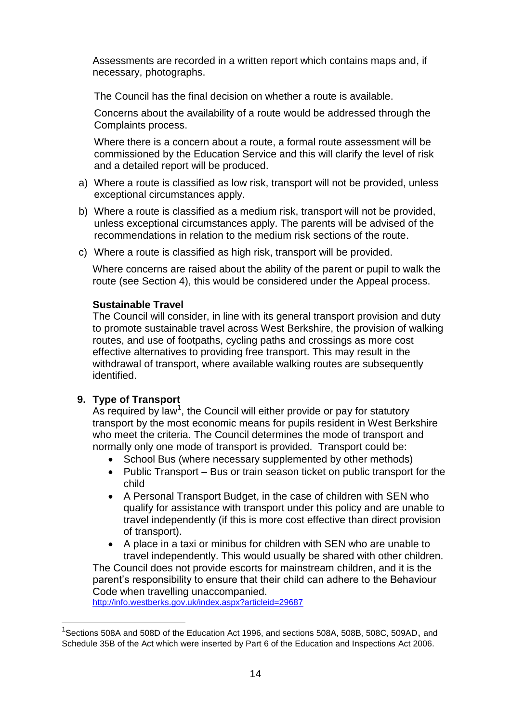Assessments are recorded in a written report which contains maps and, if necessary, photographs.

The Council has the final decision on whether a route is available.

Concerns about the availability of a route would be addressed through the Complaints process.

Where there is a concern about a route, a formal route assessment will be commissioned by the Education Service and this will clarify the level of risk and a detailed report will be produced.

- a) Where a route is classified as low risk, transport will not be provided, unless exceptional circumstances apply.
- b) Where a route is classified as a medium risk, transport will not be provided, unless exceptional circumstances apply. The parents will be advised of the recommendations in relation to the medium risk sections of the route.
- c) Where a route is classified as high risk, transport will be provided.

Where concerns are raised about the ability of the parent or pupil to walk the route (see Section 4), this would be considered under the Appeal process.

## **Sustainable Travel**

The Council will consider, in line with its general transport provision and duty to promote sustainable travel across West Berkshire, the provision of walking routes, and use of footpaths, cycling paths and crossings as more cost effective alternatives to providing free transport. This may result in the withdrawal of transport, where available walking routes are subsequently identified.

## **9. Type of Transport**

1

As required by law<sup>1</sup>, the Council will either provide or pay for statutory transport by the most economic means for pupils resident in West Berkshire who meet the criteria. The Council determines the mode of transport and normally only one mode of transport is provided. Transport could be:

- School Bus (where necessary supplemented by other methods)
- Public Transport Bus or train season ticket on public transport for the child
- A Personal Transport Budget, in the case of children with SEN who qualify for assistance with transport under this policy and are unable to travel independently (if this is more cost effective than direct provision of transport).
- A place in a taxi or minibus for children with SEN who are unable to travel independently. This would usually be shared with other children. The Council does not provide escorts for mainstream children, and it is the

parent's responsibility to ensure that their child can adhere to the Behaviour Code when travelling unaccompanied.

<http://info.westberks.gov.uk/index.aspx?articleid=29687>

<sup>&</sup>lt;sup>1</sup>Sections 508A and 508D of the Education Act 1996, and sections 508A, 508B, 508C, 509AD, and Schedule 35B of the Act which were inserted by Part 6 of the Education and Inspections Act 2006.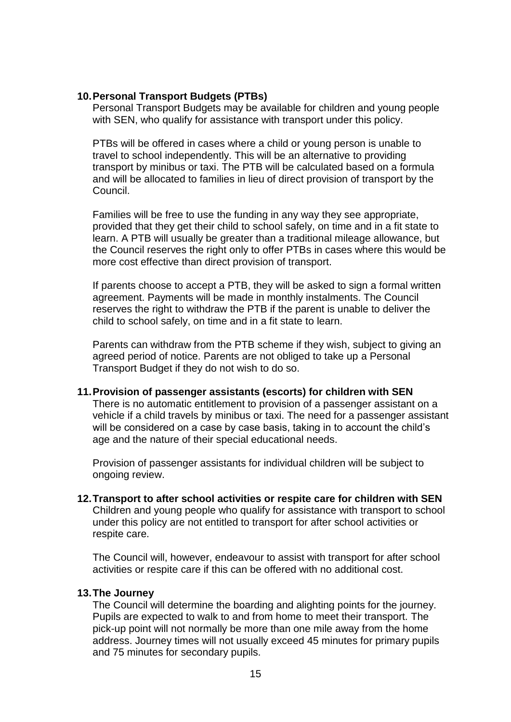## **10.Personal Transport Budgets (PTBs)**

Personal Transport Budgets may be available for children and young people with SEN, who qualify for assistance with transport under this policy.

PTBs will be offered in cases where a child or young person is unable to travel to school independently. This will be an alternative to providing transport by minibus or taxi. The PTB will be calculated based on a formula and will be allocated to families in lieu of direct provision of transport by the Council.

Families will be free to use the funding in any way they see appropriate, provided that they get their child to school safely, on time and in a fit state to learn. A PTB will usually be greater than a traditional mileage allowance, but the Council reserves the right only to offer PTBs in cases where this would be more cost effective than direct provision of transport.

If parents choose to accept a PTB, they will be asked to sign a formal written agreement. Payments will be made in monthly instalments. The Council reserves the right to withdraw the PTB if the parent is unable to deliver the child to school safely, on time and in a fit state to learn.

Parents can withdraw from the PTB scheme if they wish, subject to giving an agreed period of notice. Parents are not obliged to take up a Personal Transport Budget if they do not wish to do so.

#### **11.Provision of passenger assistants (escorts) for children with SEN**

There is no automatic entitlement to provision of a passenger assistant on a vehicle if a child travels by minibus or taxi. The need for a passenger assistant will be considered on a case by case basis, taking in to account the child's age and the nature of their special educational needs.

Provision of passenger assistants for individual children will be subject to ongoing review.

**12.Transport to after school activities or respite care for children with SEN** Children and young people who qualify for assistance with transport to school under this policy are not entitled to transport for after school activities or respite care.

The Council will, however, endeavour to assist with transport for after school activities or respite care if this can be offered with no additional cost.

#### **13.The Journey**

The Council will determine the boarding and alighting points for the journey. Pupils are expected to walk to and from home to meet their transport. The pick-up point will not normally be more than one mile away from the home address. Journey times will not usually exceed 45 minutes for primary pupils and 75 minutes for secondary pupils.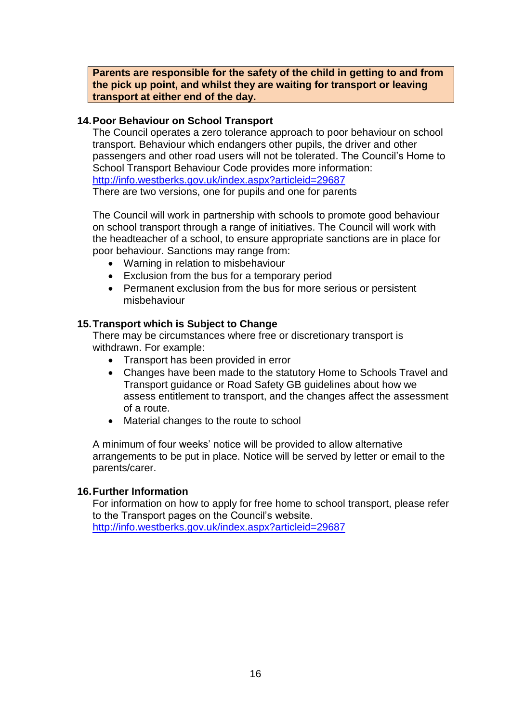**Parents are responsible for the safety of the child in getting to and from the pick up point, and whilst they are waiting for transport or leaving transport at either end of the day.**

#### **14.Poor Behaviour on School Transport**

The Council operates a zero tolerance approach to poor behaviour on school transport. Behaviour which endangers other pupils, the driver and other passengers and other road users will not be tolerated. The Council's Home to School Transport Behaviour Code provides more information: <http://info.westberks.gov.uk/index.aspx?articleid=29687> There are two versions, one for pupils and one for parents

The Council will work in partnership with schools to promote good behaviour on school transport through a range of initiatives. The Council will work with the headteacher of a school, to ensure appropriate sanctions are in place for poor behaviour. Sanctions may range from:

- Warning in relation to misbehaviour
- Exclusion from the bus for a temporary period
- Permanent exclusion from the bus for more serious or persistent misbehaviour

## **15.Transport which is Subject to Change**

There may be circumstances where free or discretionary transport is withdrawn. For example:

- Transport has been provided in error
- Changes have been made to the statutory Home to Schools Travel and Transport guidance or Road Safety GB guidelines about how we assess entitlement to transport, and the changes affect the assessment of a route.
- Material changes to the route to school

A minimum of four weeks' notice will be provided to allow alternative arrangements to be put in place. Notice will be served by letter or email to the parents/carer.

## **16.Further Information**

For information on how to apply for free home to school transport, please refer to the Transport pages on the Council's website. <http://info.westberks.gov.uk/index.aspx?articleid=29687>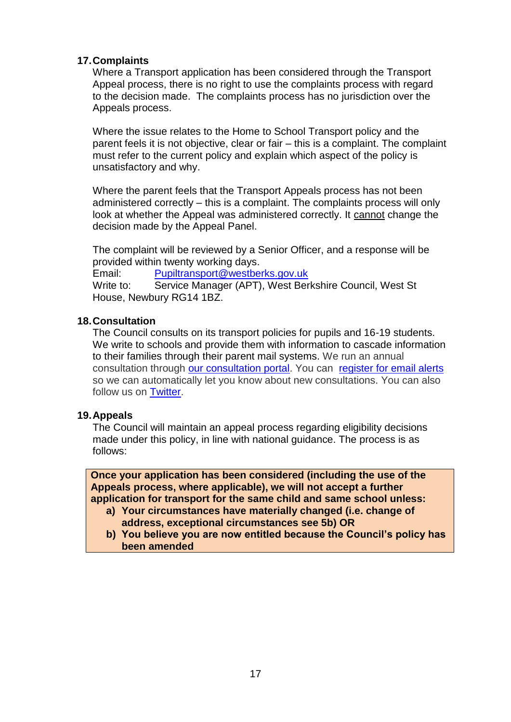## **17.Complaints**

Where a Transport application has been considered through the Transport Appeal process, there is no right to use the complaints process with regard to the decision made. The complaints process has no jurisdiction over the Appeals process.

Where the issue relates to the Home to School Transport policy and the parent feels it is not objective, clear or fair – this is a complaint. The complaint must refer to the current policy and explain which aspect of the policy is unsatisfactory and why.

Where the parent feels that the Transport Appeals process has not been administered correctly – this is a complaint. The complaints process will only look at whether the Appeal was administered correctly. It cannot change the decision made by the Appeal Panel.

The complaint will be reviewed by a Senior Officer, and a response will be provided within twenty working days.

Email: [Pupiltransport@westberks.gov.uk](mailto:Pupiltransport@westberks.gov.uk)

Write to: Service Manager (APT), West Berkshire Council, West St House, Newbury RG14 1BZ.

## **18.Consultation**

The Council consults on its transport policies for pupils and 16-19 students. We write to schools and provide them with information to cascade information to their families through their parent mail systems. We run an annual consultation through [our consultation portal.](http://info.westberks.gov.uk/index.aspx?articleid=28602) You can [register for email alerts](http://www.westberks.gov.uk/index.aspx?articleid=29384) so we can automatically let you know about new consultations. You can also follow us on [Twitter.](http://info.westberks.gov.uk/index.aspx?articleid=31648)

## **19.Appeals**

The Council will maintain an appeal process regarding eligibility decisions made under this policy, in line with national guidance. The process is as follows:

**Once your application has been considered (including the use of the Appeals process, where applicable), we will not accept a further application for transport for the same child and same school unless:**

- **a) Your circumstances have materially changed (i.e. change of address, exceptional circumstances see 5b) OR**
- **b) You believe you are now entitled because the Council's policy has been amended**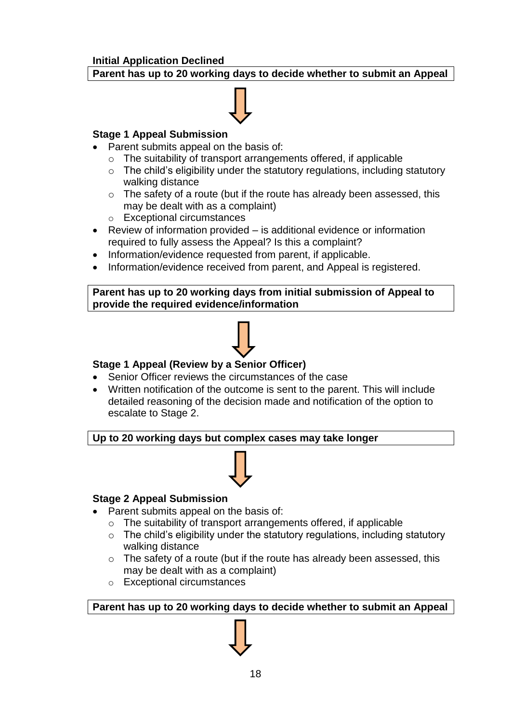## **Initial Application Declined**

## **Parent has up to 20 working days to decide whether to submit an Appeal**

## **Stage 1 Appeal Submission**

- Parent submits appeal on the basis of:
	- o The suitability of transport arrangements offered, if applicable
	- $\circ$  The child's eligibility under the statutory regulations, including statutory walking distance
	- o The safety of a route (but if the route has already been assessed, this may be dealt with as a complaint)
	- o Exceptional circumstances
- Review of information provided is additional evidence or information required to fully assess the Appeal? Is this a complaint?
- Information/evidence requested from parent, if applicable.
- Information/evidence received from parent, and Appeal is registered.

### **Parent has up to 20 working days from initial submission of Appeal to provide the required evidence/information**



## **Stage 1 Appeal (Review by a Senior Officer)**

- Senior Officer reviews the circumstances of the case
- Written notification of the outcome is sent to the parent. This will include detailed reasoning of the decision made and notification of the option to escalate to Stage 2.

## **Up to 20 working days but complex cases may take longer**



## **Stage 2 Appeal Submission**

- Parent submits appeal on the basis of:
	- o The suitability of transport arrangements offered, if applicable
	- $\circ$  The child's eligibility under the statutory regulations, including statutory walking distance
	- o The safety of a route (but if the route has already been assessed, this may be dealt with as a complaint)
	- o Exceptional circumstances

**Parent has up to 20 working days to decide whether to submit an Appeal**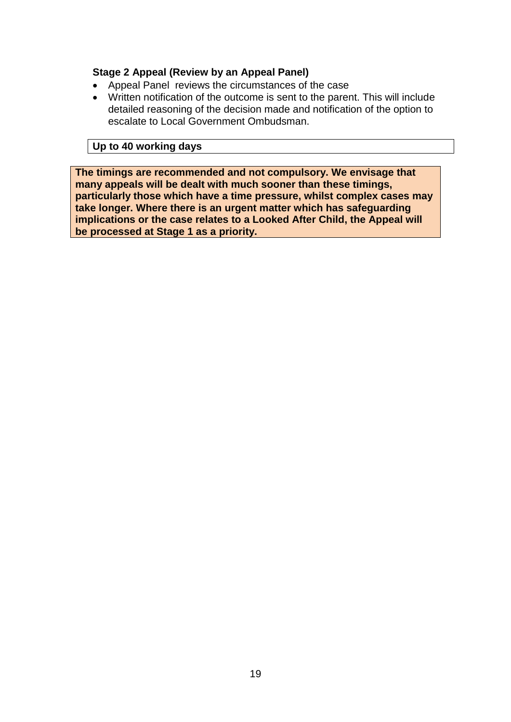## **Stage 2 Appeal (Review by an Appeal Panel)**

- Appeal Panel reviews the circumstances of the case
- Written notification of the outcome is sent to the parent. This will include detailed reasoning of the decision made and notification of the option to escalate to Local Government Ombudsman.

## **Up to 40 working days**

**The timings are recommended and not compulsory. We envisage that many appeals will be dealt with much sooner than these timings, particularly those which have a time pressure, whilst complex cases may take longer. Where there is an urgent matter which has safeguarding implications or the case relates to a Looked After Child, the Appeal will be processed at Stage 1 as a priority.**